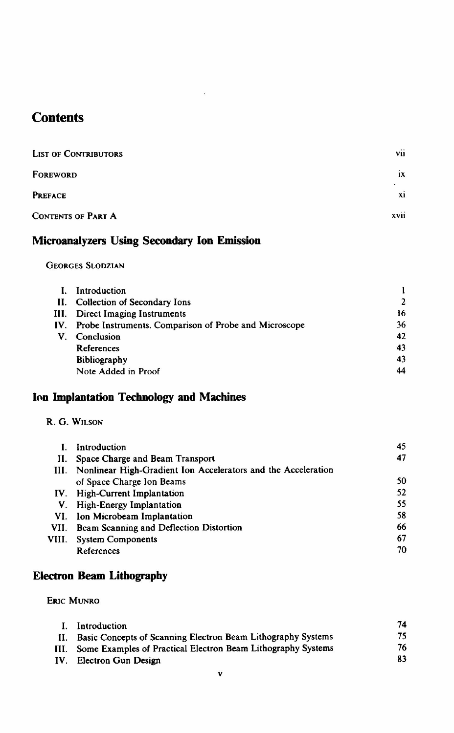# **Contents**

| <b>LIST OF CONTRIBUTORS</b> | $\cdots$<br><b>VII</b> |
|-----------------------------|------------------------|
| FOREWORD                    | 1X                     |
| <b>PREFACE</b>              | $\mathbf{X}$           |
| <b>CONTENTS OF PART A</b>   | $\cdots$<br>XVII       |

 $\tilde{\epsilon}$ 

## Microanalyzers Using Secondary Ion Emission

#### Georges Slodzian

|    | Introduction                                              |                |
|----|-----------------------------------------------------------|----------------|
|    | II. Collection of Secondary Ions                          | $\overline{2}$ |
|    | III. Direct Imaging Instruments                           | 16             |
|    | IV. Probe Instruments. Comparison of Probe and Microscope | 36             |
| V. | Conclusion                                                | 42             |
|    | References                                                | 43             |
|    | <b>Bibliography</b>                                       | 43             |
|    | Note Added in Proof                                       | 44             |

## Ion Implantation Technology and Machines

|  |  | R. G. WILSON |
|--|--|--------------|
|--|--|--------------|

|       | Introduction                                                       | 45 |
|-------|--------------------------------------------------------------------|----|
|       | II. Space Charge and Beam Transport                                | 47 |
|       | III. Nonlinear High-Gradient Ion Accelerators and the Acceleration |    |
|       | of Space Charge Ion Beams                                          | 50 |
| IV.   | High-Current Implantation                                          | 52 |
|       | V. High-Energy Implantation                                        | 55 |
|       | VI. Ion Microbeam Implantation                                     | 58 |
|       | VII. Beam Scanning and Deflection Distortion                       | 66 |
| VIII. | <b>System Components</b>                                           | 67 |
|       | References                                                         | 70 |

## Electron Beam Lithography

Eric Munro

| L. | Introduction                                                      | 74 |
|----|-------------------------------------------------------------------|----|
| Н. | Basic Concepts of Scanning Electron Beam Lithography Systems      | 75 |
|    | III. Some Examples of Practical Electron Beam Lithography Systems | 76 |
|    | IV. Electron Gun Design                                           | 83 |